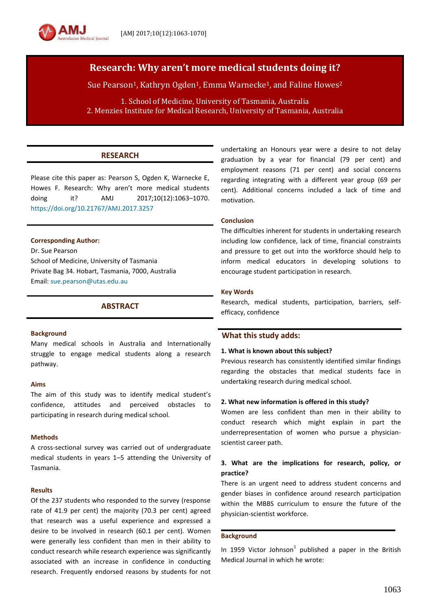

Sue Pearson<sup>1</sup>, Kathryn Ogden<sup>1</sup>, Emma Warnecke<sup>1</sup>, and Faline Howes<sup>2</sup>

1. School of Medicine, University of Tasmania, Australia 2. Menzies Institute for Medical Research, University of Tasmania, Australia

# **RESEARCH**

Please cite this paper as: Pearson S, Ogden K, Warnecke E, Howes F. Research: Why aren't more medical students doing it? AMJ 2017;10(12):1063-1070. <https://doi.org/10.21767/AMJ.2017.3257>

#### **Corresponding Author:**

Dr. Sue Pearson School of Medicine, University of Tasmania Private Bag 34. Hobart, Tasmania, 7000, Australia Email: [sue.pearson@utas.edu.au](mailto:sue.pearson@utas.edu.au)

## **ABSTRACT**

#### **Background**

Many medical schools in Australia and Internationally struggle to engage medical students along a research pathway.

#### **Aims**

The aim of this study was to identify medical student's confidence, attitudes and perceived obstacles to participating in research during medical school.

#### **Methods**

A cross-sectional survey was carried out of undergraduate medical students in years 1–5 attending the University of Tasmania.

#### **Results**

Of the 237 students who responded to the survey (response rate of 41.9 per cent) the majority (70.3 per cent) agreed that research was a useful experience and expressed a desire to be involved in research (60.1 per cent). Women were generally less confident than men in their ability to conduct research while research experience was significantly associated with an increase in confidence in conducting research. Frequently endorsed reasons by students for not

undertaking an Honours year were a desire to not delay graduation by a year for financial (79 per cent) and employment reasons (71 per cent) and social concerns regarding integrating with a different year group (69 per cent). Additional concerns included a lack of time and motivation.

### **Conclusion**

The difficulties inherent for students in undertaking research including low confidence, lack of time, financial constraints and pressure to get out into the workforce should help to inform medical educators in developing solutions to encourage student participation in research.

#### **Key Words**

Research, medical students, participation, barriers, selfefficacy, confidence

## **What this study adds:**

#### **1. What is known about this subject?**

Previous research has consistently identified similar findings regarding the obstacles that medical students face in undertaking research during medical school.

## **2. What new information is offered in this study?**

Women are less confident than men in their ability to conduct research which might explain in part the underrepresentation of women who pursue a physicianscientist career path.

## **3. What are the implications for research, policy, or practice?**

There is an urgent need to address student concerns and gender biases in confidence around research participation within the MBBS curriculum to ensure the future of the physician-scientist workforce.

#### **Background**

In 1959 Victor Johnson<sup>1</sup> published a paper in the British Medical Journal in which he wrote: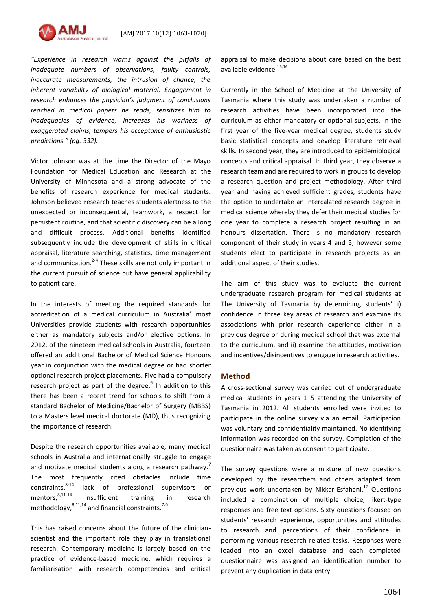

*"Experience in research warns against the pitfalls of inadequate numbers of observations, faulty controls, inaccurate measurements, the intrusion of chance, the inherent variability of biological material. Engagement in research enhances the physician's judgment of conclusions reached in medical papers he reads, sensitizes him to inadequacies of evidence, increases his wariness of exaggerated claims, tempers his acceptance of enthusiastic predictions." (pg. 332).*

Victor Johnson was at the time the Director of the Mayo Foundation for Medical Education and Research at the University of Minnesota and a strong advocate of the benefits of research experience for medical students. Johnson believed research teaches students alertness to the unexpected or inconsequential, teamwork, a respect for persistent routine, and that scientific discovery can be a long and difficult process. Additional benefits identified subsequently include the development of skills in critical appraisal, literature searching, statistics, time management and communication.<sup>2-4</sup> These skills are not only important in the current pursuit of science but have general applicability to patient care.

In the interests of meeting the required standards for accreditation of a medical curriculum in Australia<sup>5</sup> most Universities provide students with research opportunities either as mandatory subjects and/or elective options. In 2012, of the nineteen medical schools in Australia, fourteen offered an additional Bachelor of Medical Science Honours year in conjunction with the medical degree or had shorter optional research project placements. Five had a compulsory research project as part of the degree.<sup>6</sup> In addition to this there has been a recent trend for schools to shift from a standard Bachelor of Medicine/Bachelor of Surgery (MBBS) to a Masters level medical doctorate (MD), thus recognizing the importance of research.

Despite the research opportunities available, many medical schools in Australia and internationally struggle to engage and motivate medical students along a research pathway.<sup>7</sup> The most frequently cited obstacles include time constraints, $8-14$  lack of professional supervisors or mentors.<sup>8,11-14</sup> insufficient training in research methodology,<sup>8,11,14</sup> and financial constraints.<sup>7-9</sup>

This has raised concerns about the future of the clinicianscientist and the important role they play in translational research. Contemporary medicine is largely based on the practice of evidence-based medicine, which requires a familiarisation with research competencies and critical appraisal to make decisions about care based on the best available evidence. 15,16

Currently in the School of Medicine at the University of Tasmania where this study was undertaken a number of research activities have been incorporated into the curriculum as either mandatory or optional subjects. In the first year of the five-year medical degree, students study basic statistical concepts and develop literature retrieval skills. In second year, they are introduced to epidemiological concepts and critical appraisal. In third year, they observe a research team and are required to work in groups to develop a research question and project methodology. After third year and having achieved sufficient grades, students have the option to undertake an intercalated research degree in medical science whereby they defer their medical studies for one year to complete a research project resulting in an honours dissertation. There is no mandatory research component of their study in years 4 and 5; however some students elect to participate in research projects as an additional aspect of their studies.

The aim of this study was to evaluate the current undergraduate research program for medical students at The University of Tasmania by determining students' i) confidence in three key areas of research and examine its associations with prior research experience either in a previous degree or during medical school that was external to the curriculum, and ii) examine the attitudes, motivation and incentives/disincentives to engage in research activities.

#### **Method**

A cross-sectional survey was carried out of undergraduate medical students in years 1–5 attending the University of Tasmania in 2012. All students enrolled were invited to participate in the online survey via an email. Participation was voluntary and confidentiality maintained. No identifying information was recorded on the survey. Completion of the questionnaire was taken as consent to participate.

The survey questions were a mixture of new questions developed by the researchers and others adapted from previous work undertaken by Nikkar-Esfahani. <sup>12</sup> Questions included a combination of multiple choice, likert-type responses and free text options. Sixty questions focused on students' research experience, opportunities and attitudes to research and perceptions of their confidence in performing various research related tasks. Responses were loaded into an excel database and each completed questionnaire was assigned an identification number to prevent any duplication in data entry.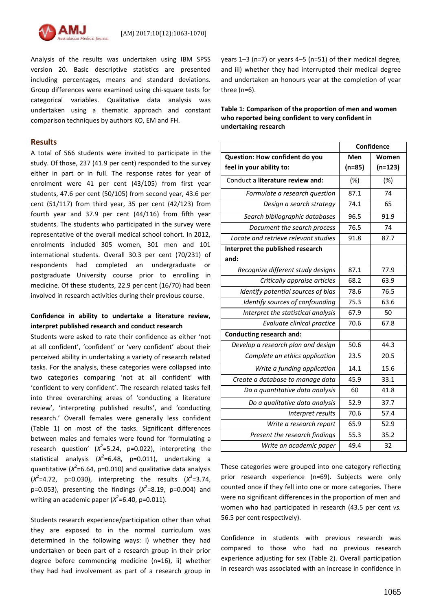

Analysis of the results was undertaken using IBM SPSS version 20. Basic descriptive statistics are presented including percentages, means and standard deviations. Group differences were examined using chi-square tests for categorical variables. Qualitative data analysis was undertaken using a thematic approach and constant comparison techniques by authors KO, EM and FH.

### **Results**

A total of 566 students were invited to participate in the study. Of those, 237 (41.9 per cent) responded to the survey either in part or in full. The response rates for year of enrolment were 41 per cent (43/105) from first year students, 47.6 per cent (50/105) from second year, 43.6 per cent (51/117) from third year, 35 per cent (42/123) from fourth year and 37.9 per cent (44/116) from fifth year students. The students who participated in the survey were representative of the overall medical school cohort. In 2012, enrolments included 305 women, 301 men and 101 international students. Overall 30.3 per cent (70/231) of respondents had completed an undergraduate or postgraduate University course prior to enrolling in medicine. Of these students, 22.9 per cent (16/70) had been involved in research activities during their previous course.

## **Confidence in ability to undertake a literature review, interpret published research and conduct research**

Students were asked to rate their confidence as either 'not at all confident', 'confident' or 'very confident' about their perceived ability in undertaking a variety of research related tasks. For the analysis, these categories were collapsed into two categories comparing 'not at all confident' with 'confident to very confident'. The research related tasks fell into three overarching areas of 'conducting a literature review', 'interpreting published results', and 'conducting research.' Overall females were generally less confident (Table 1) on most of the tasks. Significant differences between males and females were found for 'formulating a research question' (*X* 2 =5.24, p=0.022), interpreting the statistical analysis (*X* 2 =6.48, p=0.011), undertaking a quantitative (*X* 2 =6.64, p=0.010) and qualitative data analysis  $(X^2=4.72, p=0.030)$ , interpreting the results  $(X^2=3.74,$ p=0.053), presenting the findings  $(X^2=8.19, p=0.004)$  and writing an academic paper (*X* 2 =6.40, p=0.011).

Students research experience/participation other than what they are exposed to in the normal curriculum was determined in the following ways: i) whether they had undertaken or been part of a research group in their prior degree before commencing medicine (n=16), ii) whether they had had involvement as part of a research group in

years 1–3 (n=7) or years 4–5 (n=51) of their medical degree, and iii) whether they had interrupted their medical degree and undertaken an honours year at the completion of year three (n=6).

**Table 1: Comparison of the proportion of men and women who reported being confident to very confident in undertaking research**

|                                      | Confidence |           |
|--------------------------------------|------------|-----------|
| Question: How confident do you       | Men        | Women     |
| feel in your ability to:             | $(n=85)$   | $(n=123)$ |
| Conduct a literature review and:     | (%)        | (%)       |
| Formulate a research question        | 87.1       | 74        |
| Design a search strategy             | 74.1       | 65        |
| Search bibliographic databases       | 96.5       | 91.9      |
| Document the search process          | 76.5       | 74        |
| Locate and retrieve relevant studies | 91.8       | 87.7      |
| Interpret the published research     |            |           |
| and:                                 |            |           |
| Recognize different study designs    | 87.1       | 77.9      |
| Critically appraise articles         | 68.2       | 63.9      |
| Identify potential sources of bias   | 78.6       | 76.5      |
| Identify sources of confounding      | 75.3       | 63.6      |
| Interpret the statistical analysis   | 67.9       | 50        |
| Evaluate clinical practice           | 70.6       | 67.8      |
| <b>Conducting research and:</b>      |            |           |
| Develop a research plan and design   | 50.6       | 44.3      |
| Complete an ethics application       | 23.5       | 20.5      |
| Write a funding application          | 14.1       | 15.6      |
| Create a database to manage data     | 45.9       | 33.1      |
| Da a quantitative data analysis      | 60         | 41.8      |
| Do a qualitative data analysis       | 52.9       | 37.7      |
| Interpret results                    | 70.6       | 57.4      |
| Write a research report              | 65.9       | 52.9      |
| Present the research findings        | 55.3       | 35.2      |
| Write an academic paper              | 49.4       | 32        |

These categories were grouped into one category reflecting prior research experience (n=69). Subjects were only counted once if they fell into one or more categories. There were no significant differences in the proportion of men and women who had participated in research (43.5 per cent *vs.* 56.5 per cent respectively).

Confidence in students with previous research was compared to those who had no previous research experience adjusting for sex (Table 2). Overall participation in research was associated with an increase in confidence in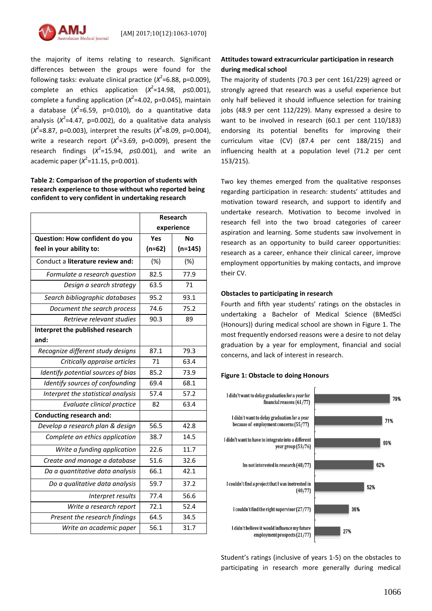

the majority of items relating to research. Significant differences between the groups were found for the following tasks: evaluate clinical practice ( $X^2$ =6.88, p=0.009),  $\text{complete}$  an ethics application ( $\chi^2$ =14.98,  $p \le 0.001$ ), complete a funding application (*X* 2 =4.02, p=0.045), maintain a database (*X* 2 =6.59, p=0.010), do a quantitative data analysis (*X* 2 =4.47, p=0.002), do a qualitative data analysis  $(X^2 = 8.87, p = 0.003)$ , interpret the results  $(X^2 = 8.09, p = 0.004)$ , write a research report  $(X^2=3.69, p=0.009)$ , present the research findings (*X* 2 =15.94, *p*≤0.001), and write an academic paper (*X* 2 =11.15, p=0.001).

## **Table 2: Comparison of the proportion of students with research experience to those without who reported being confident to very confident in undertaking research**

|                                    | <b>Research</b> |           |
|------------------------------------|-----------------|-----------|
|                                    | experience      |           |
| Question: How confident do you     | Yes             | No        |
| feel in your ability to:           | $(n=62)$        | $(n=145)$ |
| Conduct a literature review and:   | $(\%)$          | $(\%)$    |
| Formulate a research question      | 82.5            | 77.9      |
| Design a search strategy           | 63.5            | 71        |
| Search bibliographic databases     | 95.2            | 93.1      |
| Document the search process        | 74.6            | 75.2      |
| Retrieve relevant studies          | 90.3            | 89        |
| Interpret the published research   |                 |           |
| and:                               |                 |           |
| Recognize different study designs  | 87.1            | 79.3      |
| Critically appraise articles       | 71              | 63.4      |
| Identify potential sources of bias | 85.2            | 73.9      |
| Identify sources of confounding    | 69.4            | 68.1      |
| Interpret the statistical analysis | 57.4            | 57.2      |
| Evaluate clinical practice         | 82              | 63.4      |
| <b>Conducting research and:</b>    |                 |           |
| Develop a research plan & design   | 56.5            | 42.8      |
| Complete an ethics application     | 38.7            | 14.5      |
| Write a funding application        | 22.6            | 11.7      |
| Create and manage a database       | 51.6            | 32.6      |
| Da a quantitative data analysis    | 66.1            | 42.1      |
| Do a qualitative data analysis     | 59.7            | 37.2      |
| Interpret results                  | 77.4            | 56.6      |
| Write a research report            | 72.1            | 52.4      |
| Present the research findings      | 64.5            | 34.5      |
| Write an academic paper            | 56.1            | 31.7      |

## **Attitudes toward extracurricular participation in research during medical school**

The majority of students (70.3 per cent 161/229) agreed or strongly agreed that research was a useful experience but only half believed it should influence selection for training jobs (48.9 per cent 112/229). Many expressed a desire to want to be involved in research (60.1 per cent 110/183) endorsing its potential benefits for improving their curriculum vitae (CV) (87.4 per cent 188/215) and influencing health at a population level (71.2 per cent 153/215).

Two key themes emerged from the qualitative responses regarding participation in research: students' attitudes and motivation toward research, and support to identify and undertake research. Motivation to become involved in research fell into the two broad categories of career aspiration and learning. Some students saw involvement in research as an opportunity to build career opportunities: research as a career, enhance their clinical career, improve employment opportunities by making contacts, and improve their CV.

## **Obstacles to participating in research**

Fourth and fifth year students' ratings on the obstacles in undertaking a Bachelor of Medical Science (BMedSci (Honours)) during medical school are shown in Figure 1. The most frequently endorsed reasons were a desire to not delay graduation by a year for employment, financial and social concerns, and lack of interest in research.

## **Figure 1: Obstacle to doing Honours**



Student's ratings (inclusive of years 1-5) on the obstacles to participating in research more generally during medical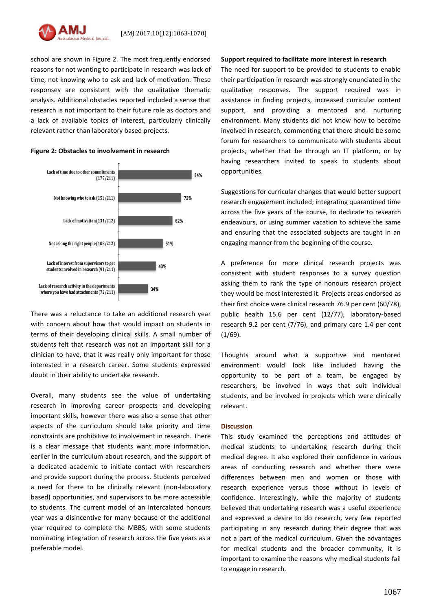school are shown in Figure 2. The most frequently endorsed reasons for not wanting to participate in research was lack of time, not knowing who to ask and lack of motivation. These responses are consistent with the qualitative thematic analysis. Additional obstacles reported included a sense that research is not important to their future role as doctors and a lack of available topics of interest, particularly clinically relevant rather than laboratory based projects.





There was a reluctance to take an additional research year with concern about how that would impact on students in terms of their developing clinical skills. A small number of students felt that research was not an important skill for a clinician to have, that it was really only important for those interested in a research career. Some students expressed doubt in their ability to undertake research.

Overall, many students see the value of undertaking research in improving career prospects and developing important skills, however there was also a sense that other aspects of the curriculum should take priority and time constraints are prohibitive to involvement in research. There is a clear message that students want more information, earlier in the curriculum about research, and the support of a dedicated academic to initiate contact with researchers and provide support during the process. Students perceived a need for there to be clinically relevant (non-laboratory based) opportunities, and supervisors to be more accessible to students. The current model of an intercalated honours year was a disincentive for many because of the additional year required to complete the MBBS, with some students nominating integration of research across the five years as a preferable model.

#### **Support required to facilitate more interest in research**

The need for support to be provided to students to enable their participation in research was strongly enunciated in the qualitative responses. The support required was in assistance in finding projects, increased curricular content support, and providing a mentored and nurturing environment. Many students did not know how to become involved in research, commenting that there should be some forum for researchers to communicate with students about projects, whether that be through an IT platform, or by having researchers invited to speak to students about opportunities.

Suggestions for curricular changes that would better support research engagement included; integrating quarantined time across the five years of the course, to dedicate to research endeavours, or using summer vacation to achieve the same and ensuring that the associated subjects are taught in an engaging manner from the beginning of the course.

A preference for more clinical research projects was consistent with student responses to a survey question asking them to rank the type of honours research project they would be most interested it. Projects areas endorsed as their first choice were clinical research 76.9 per cent (60/78), public health 15.6 per cent (12/77), laboratory-based research 9.2 per cent (7/76), and primary care 1.4 per cent (1/69).

Thoughts around what a supportive and mentored environment would look like included having the opportunity to be part of a team, be engaged by researchers, be involved in ways that suit individual students, and be involved in projects which were clinically relevant.

## **Discussion**

This study examined the perceptions and attitudes of medical students to undertaking research during their medical degree. It also explored their confidence in various areas of conducting research and whether there were differences between men and women or those with research experience versus those without in levels of confidence. Interestingly, while the majority of students believed that undertaking research was a useful experience and expressed a desire to do research, very few reported participating in any research during their degree that was not a part of the medical curriculum. Given the advantages for medical students and the broader community, it is important to examine the reasons why medical students fail to engage in research.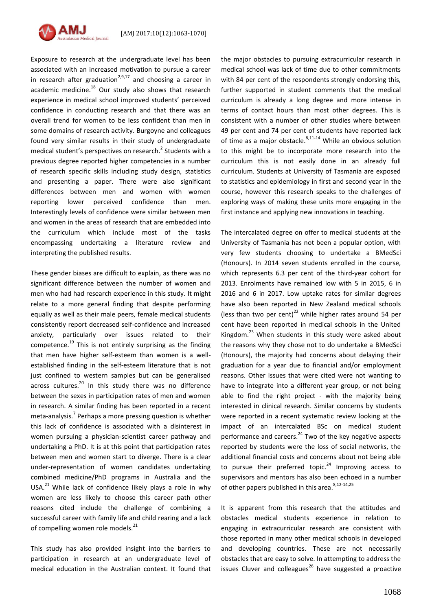Exposure to research at the undergraduate level has been associated with an increased motivation to pursue a career in research after graduation<sup>2,9,17</sup> and choosing a career in academic medicine.<sup>18</sup> Our study also shows that research experience in medical school improved students' perceived confidence in conducting research and that there was an overall trend for women to be less confident than men in some domains of research activity. Burgoyne and colleagues found very similar results in their study of undergraduate medical student's perspectives on research.<sup>2</sup> Students with a previous degree reported higher competencies in a number of research specific skills including study design, statistics and presenting a paper. There were also significant differences between men and women with women reporting lower perceived confidence than men. Interestingly levels of confidence were similar between men and women in the areas of research that are embedded into the curriculum which include most of the tasks encompassing undertaking a literature review and interpreting the published results.

These gender biases are difficult to explain, as there was no significant difference between the number of women and men who had had research experience in this study. It might relate to a more general finding that despite performing equally as well as their male peers, female medical students consistently report decreased self-confidence and increased anxiety, particularly over issues related to their competence.<sup>19</sup> This is not entirely surprising as the finding that men have higher self-esteem than women is a wellestablished finding in the self-esteem literature that is not just confined to western samples but can be generalised across cultures.<sup>20</sup> In this study there was no difference between the sexes in participation rates of men and women in research. A similar finding has been reported in a recent meta-analysis.<sup>7</sup> Perhaps a more pressing question is whether this lack of confidence is associated with a disinterest in women pursuing a physician-scientist career pathway and undertaking a PhD. It is at this point that participation rates between men and women start to diverge. There is a clear under-representation of women candidates undertaking combined medicine/PhD programs in Australia and the USA. $^{21}$  While lack of confidence likely plays a role in why women are less likely to choose this career path other reasons cited include the challenge of combining a successful career with family life and child rearing and a lack of compelling women role models.<sup>21</sup>

This study has also provided insight into the barriers to participation in research at an undergraduate level of medical education in the Australian context. It found that the major obstacles to pursuing extracurricular research in medical school was lack of time due to other commitments with 84 per cent of the respondents strongly endorsing this, further supported in student comments that the medical curriculum is already a long degree and more intense in terms of contact hours than most other degrees. This is consistent with a number of other studies where between 49 per cent and 74 per cent of students have reported lack of time as a major obstacle.<sup>8,11-14</sup> While an obvious solution to this might be to incorporate more research into the curriculum this is not easily done in an already full curriculum. Students at University of Tasmania are exposed to statistics and epidemiology in first and second year in the course, however this research speaks to the challenges of exploring ways of making these units more engaging in the first instance and applying new innovations in teaching.

The intercalated degree on offer to medical students at the University of Tasmania has not been a popular option, with very few students choosing to undertake a BMedSci (Honours). In 2014 seven students enrolled in the course, which represents 6.3 per cent of the third-year cohort for 2013. Enrolments have remained low with 5 in 2015, 6 in 2016 and 6 in 2017. Low uptake rates for similar degrees have also been reported in New Zealand medical schools (less than two per cent) $^{22}$  while higher rates around 54 per cent have been reported in medical schools in the United Kingdom. $^{23}$  When students in this study were asked about the reasons why they chose not to do undertake a BMedSci (Honours), the majority had concerns about delaying their graduation for a year due to financial and/or employment reasons. Other issues that were cited were not wanting to have to integrate into a different year group, or not being able to find the right project - with the majority being interested in clinical research. Similar concerns by students were reported in a recent systematic review looking at the impact of an intercalated BSc on medical student performance and careers. $^{24}$  Two of the key negative aspects reported by students were the loss of social networks, the additional financial costs and concerns about not being able to pursue their preferred topic.<sup>24</sup> Improving access to supervisors and mentors has also been echoed in a number of other papers published in this area.<sup>8,12-14,25</sup>

It is apparent from this research that the attitudes and obstacles medical students experience in relation to engaging in extracurricular research are consistent with those reported in many other medical schools in developed and developing countries. These are not necessarily obstacles that are easy to solve. In attempting to address the issues Cluver and colleagues $^{26}$  have suggested a proactive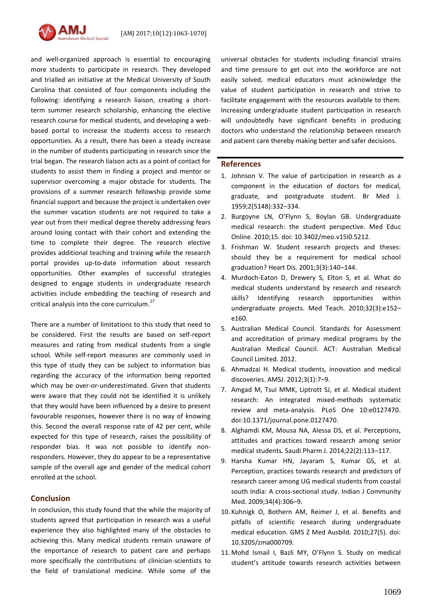

and well-organized approach is essential to encouraging more students to participate in research. They developed and trialled an initiative at the Medical University of South Carolina that consisted of four components including the following: identifying a research liaison, creating a shortterm summer research scholarship, enhancing the elective research course for medical students, and developing a webbased portal to increase the students access to research opportunities. As a result, there has been a steady increase in the number of students participating in research since the trial began. The research liaison acts as a point of contact for students to assist them in finding a project and mentor or supervisor overcoming a major obstacle for students. The provisions of a summer research fellowship provide some financial support and because the project is undertaken over the summer vacation students are not required to take a year out from their medical degree thereby addressing fears around losing contact with their cohort and extending the time to complete their degree. The research elective provides additional teaching and training while the research portal provides up-to-date information about research opportunities. Other examples of successful strategies designed to engage students in undergraduate research activities include embedding the teaching of research and critical analysis into the core curriculum.<sup>27</sup>

There are a number of limitations to this study that need to be considered. First the results are based on self-report measures and rating from medical students from a single school. While self-report measures are commonly used in this type of study they can be subject to information bias regarding the accuracy of the information being reported which may be over-or-underestimated. Given that students were aware that they could not be identified it is unlikely that they would have been influenced by a desire to present favourable responses, however there is no way of knowing this. Second the overall response rate of 42 per cent, while expected for this type of research, raises the possibility of responder bias. It was not possible to identify nonresponders. However, they do appear to be a representative sample of the overall age and gender of the medical cohort enrolled at the school.

## **Conclusion**

In conclusion, this study found that the while the majority of students agreed that participation in research was a useful experience they also highlighted many of the obstacles to achieving this. Many medical students remain unaware of the importance of research to patient care and perhaps more specifically the contributions of clinician-scientists to the field of translational medicine. While some of the

universal obstacles for students including financial strains and time pressure to get out into the workforce are not easily solved, medical educators must acknowledge the value of student participation in research and strive to facilitate engagement with the resources available to them. Increasing undergraduate student participation in research will undoubtedly have significant benefits in producing doctors who understand the relationship between research and patient care thereby making better and safer decisions.

## **References**

- 1. Johnson V. The value of participation in research as a component in the education of doctors for medical, graduate, and postgraduate student. Br Med J. 1959;2(5148):332–334.
- 2. Burgoyne LN, O'Flynn S, Boylan GB. Undergraduate medical research: the student perspective. Med Educ Online. 2010;15. doi: 10.3402/meo.v15i0.5212.
- 3. Frishman W. Student research projects and theses: should they be a requirement for medical school graduation? Heart Dis. 2001;3(3):140–144.
- 4. Murdoch-Eaton D, Drewery S, Elton S, et al. What do medical students understand by research and research skills? Identifying research opportunities within undergraduate projects. Med Teach. 2010;32(3):e152– e160.
- 5. Australian Medical Council. Standards for Assessment and accreditation of primary medical programs by the Australian Medical Council. ACT: Australian Medical Council Limited. 2012.
- 6. Ahmadzai H. Medical students, innovation and medical discoveries. AMSJ. 2012;3(1):7–9.
- 7. Amgad M, Tsui MMK, Liptrott SJ, et al. Medical student research: An integrated mixed-methods systematic review and meta-analysis. PLoS One 10:e0127470. doi[:10.1371/journal.pone.0127470.](https://doi-org.ezproxy.utas.edu.au/10.1371/journal.pone.0127470)
- 8. Alghamdi KM, Mousa NA, Alessa DS, et al. Perceptions, attitudes and practices toward research among senior medical students. Saudi Pharm J. 2014;22(2):113–117.
- 9. Harsha Kumar HN, Jayaram S, Kumar GS, et al. Perception, practices towards research and predictors of research career among UG medical students from coastal south India: A cross-sectional study. Indian J Community Med. 2009;34(4):306–9.
- 10. Kuhnigk O, Bothern AM, Reimer J, et al. Benefits and pitfalls of scientific research during undergraduate medical education. GMS Z Med Ausbild. 2010;27(5). doi: 10.3205/zma000709.
- 11. Mohd Ismail I, Bazli MY, O'Flynn S. Study on medical student's attitude towards research activities between